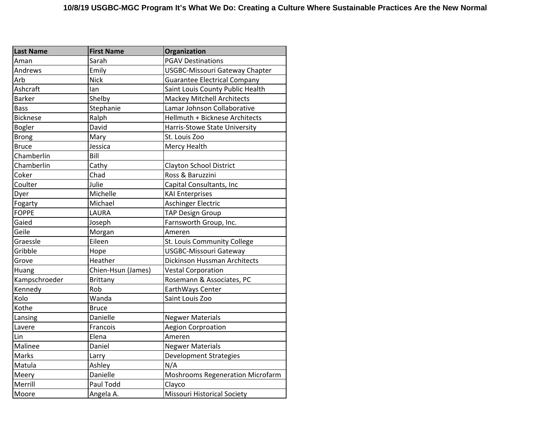| <b>Last Name</b> | <b>First Name</b>  | <b>Organization</b>                     |
|------------------|--------------------|-----------------------------------------|
| Aman             | Sarah              | <b>PGAV Destinations</b>                |
| Andrews          | Emily              | <b>USGBC-Missouri Gateway Chapter</b>   |
| Arb              | <b>Nick</b>        | <b>Guarantee Electrical Company</b>     |
| Ashcraft         | lan                | Saint Louis County Public Health        |
| <b>Barker</b>    | Shelby             | <b>Mackey Mitchell Architects</b>       |
| <b>Bass</b>      | Stephanie          | Lamar Johnson Collaborative             |
| <b>Bicknese</b>  | Ralph              | Hellmuth + Bicknese Architects          |
| <b>Bogler</b>    | David              | Harris-Stowe State University           |
| <b>Brong</b>     | Mary               | St. Louis Zoo                           |
| <b>Bruce</b>     | Jessica            | Mercy Health                            |
| Chamberlin       | Bill               |                                         |
| Chamberlin       | Cathy              | <b>Clayton School District</b>          |
| Coker            | Chad               | Ross & Baruzzini                        |
| Coulter          | Julie              | Capital Consultants, Inc                |
| Dyer             | Michelle           | <b>KAI Enterprises</b>                  |
| Fogarty          | Michael            | <b>Aschinger Electric</b>               |
| <b>FOPPE</b>     | LAURA              | <b>TAP Design Group</b>                 |
| Gaied            | Joseph             | Farnsworth Group, Inc.                  |
| Geile            | Morgan             | Ameren                                  |
| Graessle         | Eileen             | St. Louis Community College             |
| Gribble          | Hope               | <b>USGBC-Missouri Gateway</b>           |
| Grove            | Heather            | Dickinson Hussman Architects            |
| Huang            | Chien-Hsun (James) | <b>Vestal Corporation</b>               |
| Kampschroeder    | <b>Brittany</b>    | Rosemann & Associates, PC               |
| Kennedy          | Rob                | EarthWays Center                        |
| Kolo             | Wanda              | Saint Louis Zoo                         |
| Kothe            | <b>Bruce</b>       |                                         |
| Lansing          | Danielle           | <b>Negwer Materials</b>                 |
| Lavere           | Francois           | <b>Aegion Corproation</b>               |
| Lin              | Elena              | Ameren                                  |
| Malinee          | Daniel             | <b>Negwer Materials</b>                 |
| Marks            | Larry              | <b>Development Strategies</b>           |
| Matula           | Ashley             | N/A                                     |
| Meery            | Danielle           | <b>Moshrooms Regeneration Microfarm</b> |
| Merrill          | Paul Todd          | Clayco                                  |
| Moore            | Angela A.          | Missouri Historical Society             |